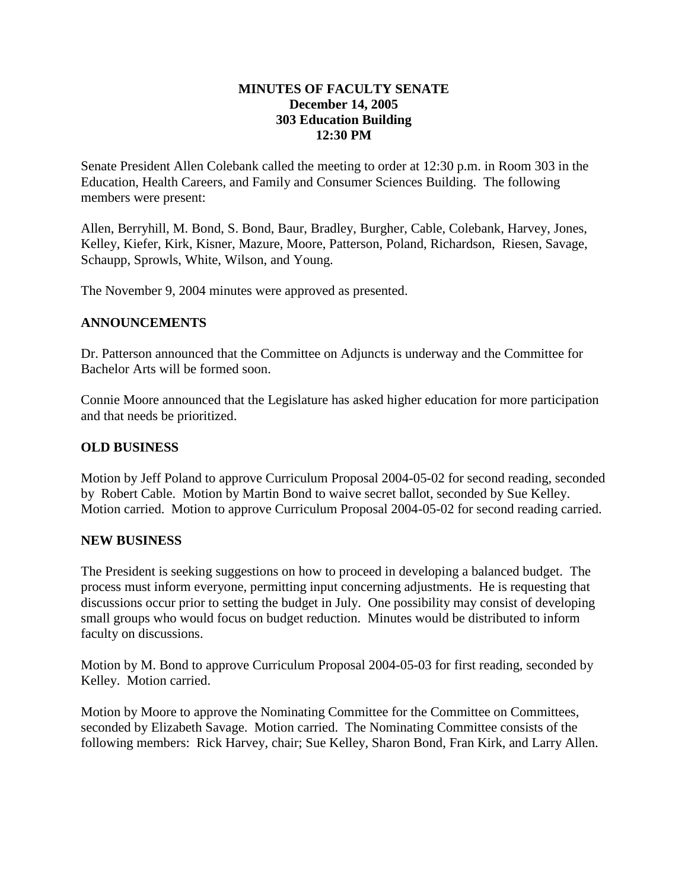## **MINUTES OF FACULTY SENATE December 14, 2005 303 Education Building 12:30 PM**

Senate President Allen Colebank called the meeting to order at 12:30 p.m. in Room 303 in the Education, Health Careers, and Family and Consumer Sciences Building. The following members were present:

Allen, Berryhill, M. Bond, S. Bond, Baur, Bradley, Burgher, Cable, Colebank, Harvey, Jones, Kelley, Kiefer, Kirk, Kisner, Mazure, Moore, Patterson, Poland, Richardson, Riesen, Savage, Schaupp, Sprowls, White, Wilson, and Young.

The November 9, 2004 minutes were approved as presented.

## **ANNOUNCEMENTS**

Dr. Patterson announced that the Committee on Adjuncts is underway and the Committee for Bachelor Arts will be formed soon.

Connie Moore announced that the Legislature has asked higher education for more participation and that needs be prioritized.

## **OLD BUSINESS**

Motion by Jeff Poland to approve Curriculum Proposal 2004-05-02 for second reading, seconded by Robert Cable. Motion by Martin Bond to waive secret ballot, seconded by Sue Kelley. Motion carried. Motion to approve Curriculum Proposal 2004-05-02 for second reading carried.

## **NEW BUSINESS**

The President is seeking suggestions on how to proceed in developing a balanced budget. The process must inform everyone, permitting input concerning adjustments. He is requesting that discussions occur prior to setting the budget in July. One possibility may consist of developing small groups who would focus on budget reduction. Minutes would be distributed to inform faculty on discussions.

Motion by M. Bond to approve Curriculum Proposal 2004-05-03 for first reading, seconded by Kelley. Motion carried.

Motion by Moore to approve the Nominating Committee for the Committee on Committees, seconded by Elizabeth Savage. Motion carried. The Nominating Committee consists of the following members: Rick Harvey, chair; Sue Kelley, Sharon Bond, Fran Kirk, and Larry Allen.